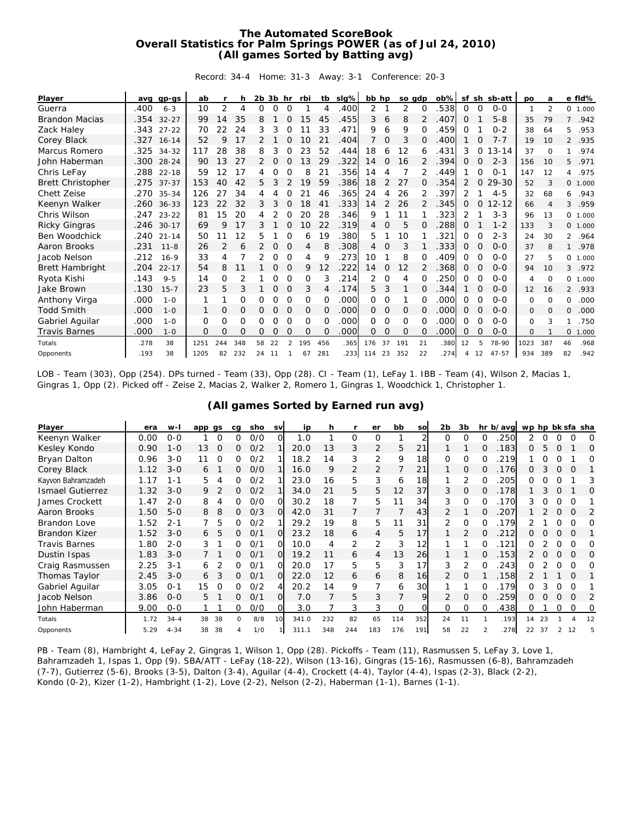## **The Automated ScoreBook Overall Statistics for Palm Springs POWER (as of Jul 24, 2010) (All games Sorted by Batting avg)**

Record: 34-4 Home: 31-3 Away: 3-1 Conference: 20-3

| Player                   | ava  | $qp-GS$   | ab   |                | h        | $2b$ $3b$ hr |    |                | rbi      |          | tb slg% | bb hp |    | so adp   |          | $ob\%$ | sf       |          | sh sb-att | po       | a        |                | e fld% |
|--------------------------|------|-----------|------|----------------|----------|--------------|----|----------------|----------|----------|---------|-------|----|----------|----------|--------|----------|----------|-----------|----------|----------|----------------|--------|
| Guerra                   | .400 | $6 - 3$   | 10   | $\overline{2}$ | 4        | 0            | O  | $\Omega$       |          | 4        | .400    | 2     |    | 2        | $\Omega$ | 538    | 0        | $\Omega$ | $O-O$     | 1        | 2        | $\circ$        | 1.000  |
| <b>Brandon Macias</b>    | .354 | $32 - 27$ | 99   | 14             | 35       | 8            |    | $\Omega$       | 15       | 45       | .455    | 3     | 6  | 8        |          | 407    | $\Omega$ |          | $5 - 8$   | 35       | 79       | $\overline{7}$ | .942   |
| Zack Haley               | .343 | $27 - 22$ | 70   | 22             | 24       | 3            | 3  |                |          | 33       | .471    | 9     | 6  | 9        |          | 459    | O        |          | $0 - 2$   | 38       | 64       | 5              | .953   |
| Corey Black              | .327 | $16 - 14$ | 52   | 9              | 17       |              |    | $\Omega$       | 10       | 21       | .404    | 7     | 0  | 3        |          | 400    |          |          | $7 - 7$   | 19       | 10       | 2              | .935   |
| Marcus Romero            | .325 | $34 - 32$ | 117  | 28             | 38       | 8            |    |                | 23       | 52       | 444     | 18    | 6  | 12       |          | 431    | 3        |          | $13 - 14$ | 37       | $\Omega$ |                | .974   |
| John Haberman            | .300 | $28 - 24$ | 90   | 13             | 27       |              | 0  | 0              | 13       | 29       | .322    | 14    | 0  | 16       |          | 394    | Ω        | O        | $2 - 3$   | 156      | 10       | 5              | .971   |
| Chris LeFay              | .288 | $22 - 18$ | 59   | 12             | 17       |              | Ω  |                | 8        | 21       | 356     | 14    | 4  |          |          | 449    |          |          | $O - 1$   | 147      | 12       | 4              | .975   |
| <b>Brett Christopher</b> | .275 | $37 - 37$ | 153  | 40             | 42       | 5            | 3  |                | 19       | 59       | .386    | 18    | 2  | 27       | 0        | 354    | 2        | 0        | $29 - 30$ | 52       | 3        | $\mathbf{O}$   | 1.000  |
| <b>Chett Zeise</b>       | .270 | $35 - 34$ | 126  | 27             | 34       | 4            |    |                | 21       | 46       | .365    | 24    | 4  | 26       |          | 397    | 2        |          | $4 - 5$   | 32       | 68       | 6              | .943   |
| Keenyn Walker            | .260 | $36 - 33$ | 123  | 22             | 32       | 3            | 3  | 0              | 18       | 41       | .333    | 14    | 2  | 26       | 2        | 345    | 0        | $\Omega$ | $12 - 12$ | 66       | Δ        | 3              | .959   |
| Chris Wilson             | .247 | $23 - 22$ | 81   | 15             | 20       | 4            |    |                | 20       | 28       | 346     | 9     |    | 11       |          | 323    | 2        |          | $3 - 3$   | 96       | 13       | 0              | 1.000  |
| <b>Ricky Gingras</b>     | .246 | $30 - 17$ | 69   | 9              | 17       | 3            |    |                | 10       | 22       | .319    | 4     | 0  | 5        |          | 288    | O        |          | $1 - 2$   | 133      | 3        | $\mathbf{O}$   | 1.000  |
| Ben Woodchick            | .240 | $21 - 14$ | 50   |                | 12       | 5            |    |                | 6        | 19       | 380     | 5     |    | 10       |          | 321    | Ω        |          | $2 - 3$   | 24       | 30       | 2              | .964   |
| Aaron Brooks             | .231 | $11 - 8$  | 26   | $\overline{2}$ | 6        | 2            | O  | $\Omega$       | 4        | 8        | .308    | 4     | 0  | 3        |          | 333    | 0        |          | $0 - 0$   | 37       | 8        |                | .978   |
| Jacob Nelson             | .212 | $16 - 9$  | 33   | 4              |          |              | 0  | $\Omega$       | 4        | 9        | 273     | 10    |    | 8        |          | 409    | Ω        | $\Omega$ | $O - O$   | 27       | 5        | 0              | 1.000  |
| <b>Brett Hambright</b>   | .204 | $22 - 17$ | 54   | 8              | 11       |              | 0  | 0              | 9        | 12       | .222    | 14    | 0  | 12       |          | 368    | Ω        | $\Omega$ | $0 - 0$   | 94       | 10       | 3              | .972   |
| Ryota Kishi              | .143 | $9 - 5$   | 14   | 0              |          |              | 0  | 0              | $\Omega$ | 3        | 214     | 2     | 0  | 4        |          | 250    | 0        | $\Omega$ | $O - O$   | 4        | $\Omega$ | 0              | 1.000  |
| Jake Brown               | .130 | $15 - 7$  | 23   | 5              | 3        |              | 0  | $\Omega$       | 3        | 4        | .174    | 5     | 3  |          | $\Omega$ | 344    |          | O        | $O-O$     | 12       | 16       |                | 2 .933 |
| Anthony Virga            | .000 | $1 - 0$   |      |                | 0        | 0            | 0  | $\Omega$       | $\Omega$ | $\Omega$ | .000    | 0     | 0  |          |          | .000   | 0        | 0        | $O - O$   | 0        | $\Omega$ | 0              | .000   |
| <b>Todd Smith</b>        | .000 | $1 - 0$   | 1    | 0              | 0        | 0            | 0  | $\Omega$       | 0        | $\Omega$ | .000    | Ω     | 0  | 0        | 0        | .000   | 0        | $\Omega$ | $0 - 0$   | $\Omega$ | $\Omega$ | $\Omega$       | .000   |
| Gabriel Aquilar          | .000 | $1 - 0$   | 0    | $\Omega$       | $\Omega$ | 0            | 0  | $\Omega$       | $\Omega$ | $\Omega$ | .000    | 0     | 0  | $\Omega$ |          | .000   | 0        | $\Omega$ | $0 - 0$   | $\Omega$ | 3        |                | .750   |
| <b>Travis Barnes</b>     | .000 | $1 - 0$   | 0    | $\overline{O}$ | O        | Ω            | Ω  |                | $\Omega$ | $\Omega$ | .000    | 0     | 0  | $\Omega$ | $\Omega$ | .000   | O        | O        | $O - O$   | $\Omega$ |          | $\mathbf{0}$   | 1.000  |
| Totals                   | .278 | 38        | 1251 | 244            | 348      | 58           | 22 | $\mathfrak{D}$ | 195      | 456      | .365    | 176   | 37 | 191      | 21       | .380   | 12       | 5        | 78-90     | 1023     | 387      | 46             | .968   |
| Opponents                | .193 | 38        | 1205 | 82             | 232      | 24           | 11 |                | 67       | 281      | 233     | 114   | 23 | 352      | 22       | 274    | 4        | 12       | $47 - 57$ | 934      | 389      | 82             | .942   |

LOB - Team (303), Opp (254). DPs turned - Team (33), Opp (28). CI - Team (1), LeFay 1. IBB - Team (4), Wilson 2, Macias 1, Gingras 1, Opp (2). Picked off - Zeise 2, Macias 2, Walker 2, Romero 1, Gingras 1, Woodchick 1, Christopher 1.

|  |  | (All games Sorted by Earned run avg) |  |  |
|--|--|--------------------------------------|--|--|
|  |  |                                      |  |  |

| Player                  | era  | $W -$    | app qs |    | ca       | sho | <b>SV</b> | ip    | h   |     | er             | bb             | SO  | 2 <sub>b</sub> | 3b            |          | hr b/avg | wp hp bk sfa sha |    |          |          |    |
|-------------------------|------|----------|--------|----|----------|-----|-----------|-------|-----|-----|----------------|----------------|-----|----------------|---------------|----------|----------|------------------|----|----------|----------|----|
| Keenyn Walker           | 0.00 | $0 - 0$  |        | O  | O        | O/O | Ω         | 1.0   |     | 0   | 0              |                |     | 0              |               |          | 250      |                  |    |          |          | O  |
| Kesley Kondo            | 0.90 | 1-0      | 13     |    | Ω        | 0/2 |           | 20.0  | 1.3 | 3   | $\overline{2}$ | 5              | 21  |                |               |          | 183      | 0                | 5  |          |          | O  |
| Bryan Dalton            | 0.96 | $3 - 0$  |        |    |          | 0/2 |           | 18.2  | 14  | 3   | $\overline{2}$ | 9              | 18  |                | $\Omega$      |          | 219      |                  |    |          |          |    |
| Corey Black             | 1.12 | $3 - 0$  | 6      |    | 0        | O/O |           | 16.0  | 9   | 2   | $\overline{2}$ |                | 21  |                | $\Omega$      |          | 176      | Ω.               | 3  | $\Omega$ | $\Omega$ |    |
| Kayvon Bahramzadeh      | 1.17 | 1-1      | 5      |    |          | 0/2 |           | 23.0  | 16  | 5   | 3              | 6              | 18  |                |               |          | 205      | Ω                |    |          |          |    |
| <b>Ismael Gutierrez</b> | 1.32 | $3 - 0$  | 9      |    | Ω        | O/2 |           | 34.0  | 21  | 5   | 5              | 12             | 37  | 3              | $\Omega$      |          | 178      |                  |    |          |          | O  |
| James Crockett          | 1.47 | $2 - 0$  | 8      |    | 0        | 0/0 | Ω         | 30.2  | 18  |     | 5              | 11             | 34  | 3              | $\Omega$      | O        | 170      | 3                |    |          |          |    |
| Aaron Brooks            | 1.50 | $5 - 0$  | 8      | 8  | 0        | O/3 | Ω         | 42.0  | 31  |     |                |                | 43  |                |               |          | 207      |                  |    |          |          |    |
| Brandon Love            | 1.52 | $2 - 1$  |        | 5  |          | 0/2 |           | 29.2  | 19  | 8   | 5              | 11             | 31  |                | $\Omega$      |          | 179      |                  |    |          |          | O  |
| Brandon Kizer           | 1.52 | $3 - 0$  | 6      | 5  | 0        | 0/1 | $\Omega$  | 23.2  | 18  | 6   | 4              | 5              | 17  |                | $\mathcal{P}$ | 0        | 212      | Ω.               | O  | $\Omega$ | $\Omega$ |    |
| <b>Travis Barnes</b>    | 1.80 | $2 - 0$  | 3      |    | ∩        | 0/1 | $\Omega$  | 10.0  |     | 2   | $\overline{2}$ | 3              | 12  |                |               |          | 121      | 0                |    |          |          |    |
| Dustin Ispas            | 1.83 | $3-0$    |        |    | 0        | 0/1 | $\Omega$  | 19.2  |     | 6   | 4              | 13             | 26  |                |               |          | 153      |                  |    |          | $\Omega$ | O  |
| Craig Rasmussen         | 2.25 | 3-1      | 6      |    | 0        | 0/1 | O         | 20.0  | 17  | 5   | 5              | 3              | 17  | 3              | 2             | $\Omega$ | 243      | 0                |    |          |          | O  |
| Thomas Taylor           | 2.45 | $3 - 0$  | 6      | 3  | 0        | O/1 | Ω         | 22.0  | 12  | 6   | 6              | 8              | 16  |                | 0             |          | 158      |                  |    |          | Ω        |    |
| Gabriel Aquilar         | 3.05 | $0 - 1$  | 15     |    | O        | 0/2 | 4         | 20.2  | 14  | 9   |                | 6              | 30  |                |               |          | 179      | 0                |    |          |          |    |
| Jacob Nelson            | 3.86 | $0 - 0$  | 5      |    | 0        | 0/1 | O         | 7.0   |     | 5   | 3              | $\overline{7}$ | Q   | $\mathcal{P}$  | $\Omega$      | 0        | 259      | Ω.               |    |          | $\Omega$ | 2  |
| John Haberman           | 9.00 | $0 - 0$  |        |    | 0        | O/O | O         | 3.0   |     | 3   | 3              | $\Omega$       |     | 0              | $\Omega$      | $\Omega$ | 438      | 0                |    | $\Omega$ | 0        | O  |
| Totals                  | 1.72 | $34 - 4$ | 38     | 38 | $\Omega$ | 8/8 | 10        | 341.0 | 232 | 82  | 65             | 114            | 352 | 24             |               |          | .193     | 14               | 23 |          |          | 12 |
| Opponents               | 5.29 | $4 - 34$ | 38     | 38 |          | 1/0 |           | 311.1 | 348 | 244 | 183            | 176            | 191 | 58             | 22            |          | 278      | 22               | 37 |          | 12       |    |

PB - Team (8), Hambright 4, LeFay 2, Gingras 1, Wilson 1, Opp (28). Pickoffs - Team (11), Rasmussen 5, LeFay 3, Love 1, Bahramzadeh 1, Ispas 1, Opp (9). SBA/ATT - LeFay (18-22), Wilson (13-16), Gingras (15-16), Rasmussen (6-8), Bahramzadeh (7-7), Gutierrez (5-6), Brooks (3-5), Dalton (3-4), Aguilar (4-4), Crockett (4-4), Taylor (4-4), Ispas (2-3), Black (2-2), Kondo (0-2), Kizer (1-2), Hambright (1-2), Love (2-2), Nelson (2-2), Haberman (1-1), Barnes (1-1).